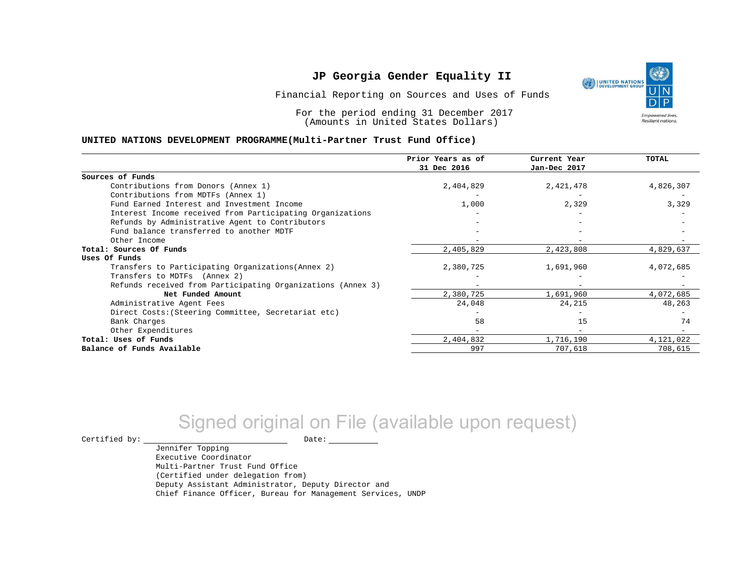Financial Reporting on Sources and Uses of Funds

For the period ending 31 December 2017 (Amounts in United States Dollars)

#### **UNITED NATIONS DEVELOPMENT PROGRAMME(Multi-Partner Trust Fund Office)**

|                                                             | Prior Years as of<br>31 Dec 2016 | Current Year<br>Jan-Dec 2017 | <b>TOTAL</b> |
|-------------------------------------------------------------|----------------------------------|------------------------------|--------------|
|                                                             |                                  |                              |              |
| Sources of Funds                                            |                                  |                              |              |
| Contributions from Donors (Annex 1)                         | 2,404,829                        | 2,421,478                    | 4,826,307    |
| Contributions from MDTFs (Annex 1)                          |                                  |                              |              |
| Fund Earned Interest and Investment Income                  | 1,000                            | 2,329                        | 3,329        |
| Interest Income received from Participating Organizations   |                                  |                              |              |
| Refunds by Administrative Agent to Contributors             |                                  |                              |              |
| Fund balance transferred to another MDTF                    |                                  |                              |              |
| Other Income                                                |                                  |                              |              |
| Total: Sources Of Funds                                     | 2,405,829                        | 2,423,808                    | 4,829,637    |
| Uses Of Funds                                               |                                  |                              |              |
| Transfers to Participating Organizations (Annex 2)          | 2,380,725                        | 1,691,960                    | 4,072,685    |
| Transfers to MDTFs (Annex 2)                                |                                  |                              |              |
| Refunds received from Participating Organizations (Annex 3) | $\overline{\phantom{m}}$         | $\overline{\phantom{a}}$     |              |
| Net Funded Amount                                           | 2,380,725                        | 1,691,960                    | 4,072,685    |
| Administrative Agent Fees                                   | 24,048                           | 24,215                       | 48,263       |
| Direct Costs: (Steering Committee, Secretariat etc)         |                                  |                              |              |
| Bank Charges                                                | 58                               | 15                           | 74           |
| Other Expenditures                                          |                                  |                              |              |
| Total: Uses of Funds                                        | 2,404,832                        | 1,716,190                    | 4,121,022    |
| Balance of Funds Available                                  | 997                              | 707,618                      | 708,615      |

# Signed original on File (available upon request)

 $\begin{tabular}{ccccc} \multicolumn{2}{c|}{\textbf{Certified by:}} & \multicolumn{2}{c|}{\textbf{Date:}} \end{tabular}$ 

Jennifer Topping Executive Coordinator Multi-Partner Trust Fund Office (Certified under delegation from) Deputy Assistant Administrator, Deputy Director and Chief Finance Officer, Bureau for Management Services, UNDP

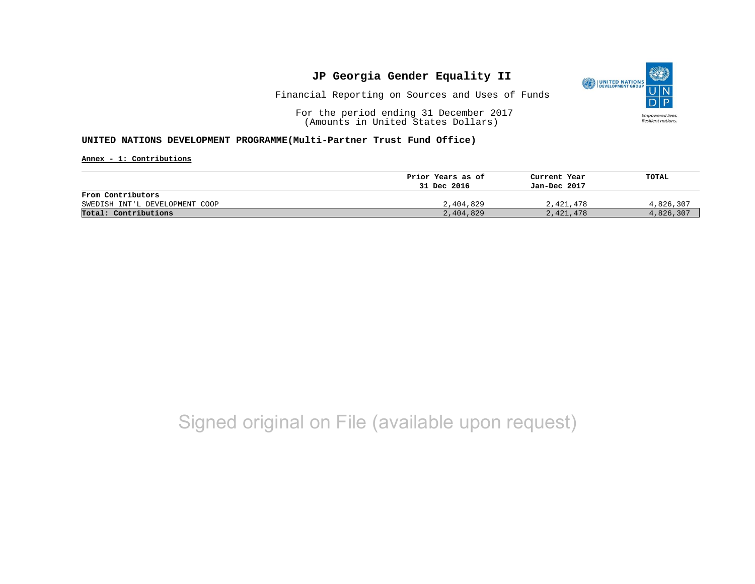

Financial Reporting on Sources and Uses of Funds

For the period ending 31 December 2017 (Amounts in United States Dollars)

#### **UNITED NATIONS DEVELOPMENT PROGRAMME(Multi-Partner Trust Fund Office)**

**Annex - 1: Contributions**

|                                | Prior Years as of | Current Year | TOTAL     |
|--------------------------------|-------------------|--------------|-----------|
|                                | 31 Dec 2016       | Jan-Dec 2017 |           |
| From Contributors              |                   |              |           |
| SWEDISH INT'L DEVELOPMENT COOP | 2,404,829         | 2,421,478    | 4,826,307 |
| Total: Contributions           | 2,404,829         | 2,421,478    | 4,826,307 |

## Signed original on File (available upon request)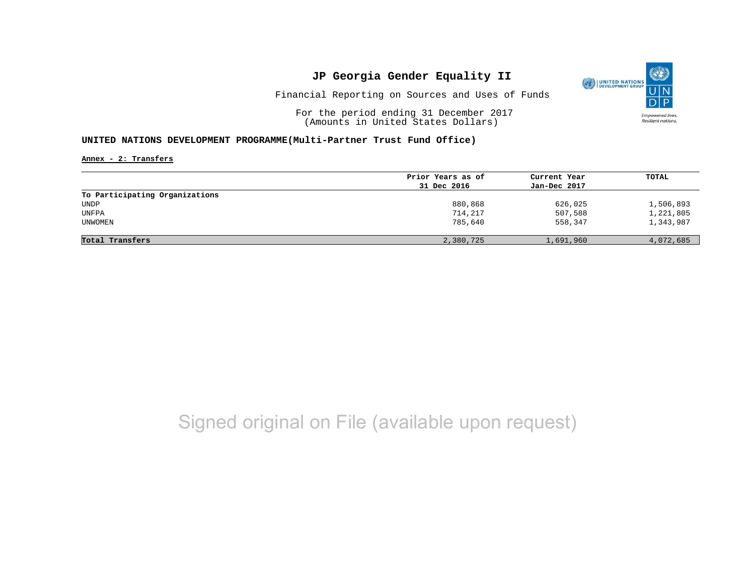

Financial Reporting on Sources and Uses of Funds

For the period ending 31 December 2017 (Amounts in United States Dollars)

#### **UNITED NATIONS DEVELOPMENT PROGRAMME(Multi-Partner Trust Fund Office)**

**Annex - 2: Transfers**

|                                | Prior Years as of | Current Year | TOTAL     |
|--------------------------------|-------------------|--------------|-----------|
|                                | 31 Dec 2016       | Jan-Dec 2017 |           |
| To Participating Organizations |                   |              |           |
| UNDP                           | 880,868           | 626,025      | 1,506,893 |
| UNFPA                          | 714,217           | 507,588      | 1,221,805 |
| UNWOMEN                        | 785,640           | 558,347      | 1,343,987 |
| Total Transfers                | 2,380,725         | 1,691,960    | 4,072,685 |

# Signed original on File (available upon request)